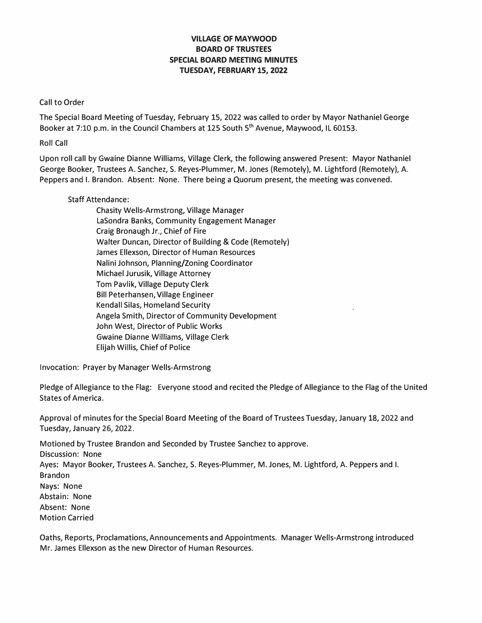## **VILLAGE OF MAYWOOD BOARD OF TRUSTEES SPECIAL BOARD MEETING MINUTES TUESDAY, FEBRUARY 15, 2022**

## Call to Order

The Special Board Meeting of Tuesday, February 15, 2022 was called to order by Mayor Nathaniel George Booker at 7:10 p.m. in the Council Chambers at 125 South 5<sup>th</sup> Avenue, Maywood, IL 60153.

Roll Call

Upon roll call by Gwaine Dianne Williams, Village Clerk, the following answered Present: Mayor Nathaniel George Booker, Trustees A. Sanchez, S. Reyes-Plummer, M. Jones (Remotely), M. Lightford (Remotely), A. Peppers and I. Brandon. Absent: None. There being a Quorum present, the meeting was convened.

## Staff Attendance:

Chasity Wells-Armstrong, Village Manager LaSondra Banks, Community Engagement Manager Craig Bronaugh Jr., Chief of Fire Walter Duncan, Director of Building & Code (Remotely) James Ellexson, Director of Human Resources Nalini Johnson, Planning/Zoning Coordinator Michael Jurusik, Village Attorney Tom Pavlik, Village Deputy Clerk Bill Peterhansen, Village Engineer Kendall Silas, Homeland Security Angela Smith, Director of Community Development John West, Director of Public Works Gwaine Dianne Williams, Village Clerk Elijah Willis, Chief of Police

Invocation: Prayer by Manager Wells-Armstrong

Pledge of Allegiance to the Flag: Everyone stood and recited the Pledge of Allegiance to the Flag of the United States of America.

Approval of minutes for the Special Board Meeting of the Board of Trustees Tuesday, January 18, 2022 and Tuesday, January 26, 2022.

Motioned by Trustee Brandon and Seconded by Trustee Sanchez to approve. Discussion: None Ayes: Mayor Booker, Trustees A. Sanchez, S. Reyes-Plummer, M. Jones, M. Lightford, A. Peppers and I. Brandon **Nays:** None Abstain: None Absent: None Motion Carried

Oaths, Reports, Proclamations, Announcements and Appointments. Manager Wells-Armstrong introduced Mr. James Ellexson as the new Director of Human Resources.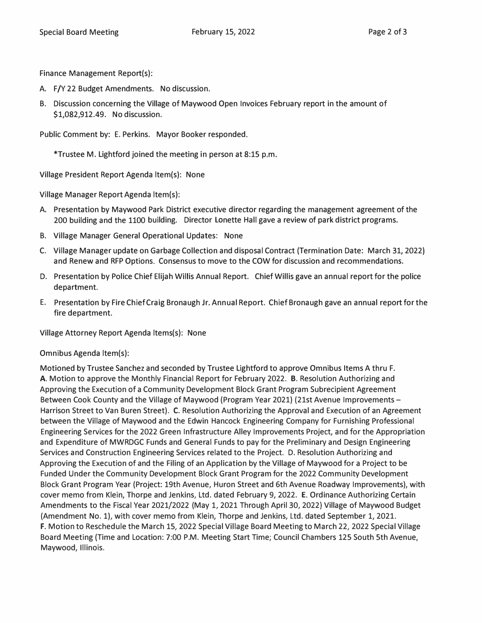Finance Management Report(s):

- A. F/Y 22 Budget Amendments. No discussion.
- B. Discussion concerning the Village of Maywood Open Invoices February report in the amount of \$1,082,912.49. No discussion.

Public Comment by: E. Perkins. Mayor Booker responded.

\*Trustee M. Lightford joined the meeting in person at 8:15 p.m.

Village President Report Agenda ltem(s): None

Village Manager Report Agenda ltem(s):

- A. Presentation by Maywood Park District executive director regarding the management agreement of the 200 building and the 1100 building. Director Lonette Hall gave a review of park district programs.
- B. Village Manager General Operational Updates: None
- C. Village Manager update on Garbage Collection and disposal Contract (Termination Date: March 31, 2022} and Renew and RFP Options. Consensus to move to the COW for discussion and recommendations.
- D. Presentation by Police Chief Elijah Willis Annual Report. Chief Willis gave an annual report for the police department.
- E. Presentation by Fire Chief Craig Bronaugh Jr. Annual Report. Chief Bronaugh gave an annual report for the fire department.

Village Attorney Report Agenda ltems(s): None

Omnibus Agenda ltem(s):

Motioned by Trustee Sanchez and seconded by Trustee Lightford to approve Omnibus Items A thru F. **A.** Motion to approve the Monthly Financial Report for February 2022. **B.** Resolution Authorizing and Approving the Execution of a Community Development Block Grant Program Subrecipient Agreement Between Cook County and the Village of Maywood (Program Year 2021) {21st Avenue Improvements - Harrison Street to Van Buren Street). C. Resolution Authorizing the Approval and Execution of an Agreement between the Village of Maywood and the Edwin Hancock Engineering Company for Furnishing Professional Engineering Services for the 2022 Green Infrastructure Alley Improvements Project, and for the Appropriation and Expenditure of MWRDGC Funds and General Funds to pay for the Preliminary and Design Engineering Services and Construction Engineering Services related to the Project. D. Resolution Authorizing and Approving the Execution of and the Filing of an Application by the Village of Maywood for a Project to be Funded Under the Community Development Block Grant Program for the 2022 Community Development Block Grant Program Year (Project: 19th Avenue, Huron Street and 6th Avenue Roadway Improvements), with cover memo from Klein, Thorpe and Jenkins, Ltd. dated February 9, 2022. E. Ordinance Authorizing Certain Amendments to the Fiscal Year 2021/2022 (May 1, 2021 Through April 30, 2022} Village of Maywood Budget {Amendment No. 1), with cover memo from Klein, Thorpe and Jenkins, Ltd. dated September 1, 2021. **F.** Motion to Reschedule the March 15, 2022 Special Village Board Meeting to March 22, 2022 Special Village Board Meeting (Time and Location: 7:00 P.M. Meeting Start Time; Council Chambers 125 South 5th Avenue, Maywood, Illinois.